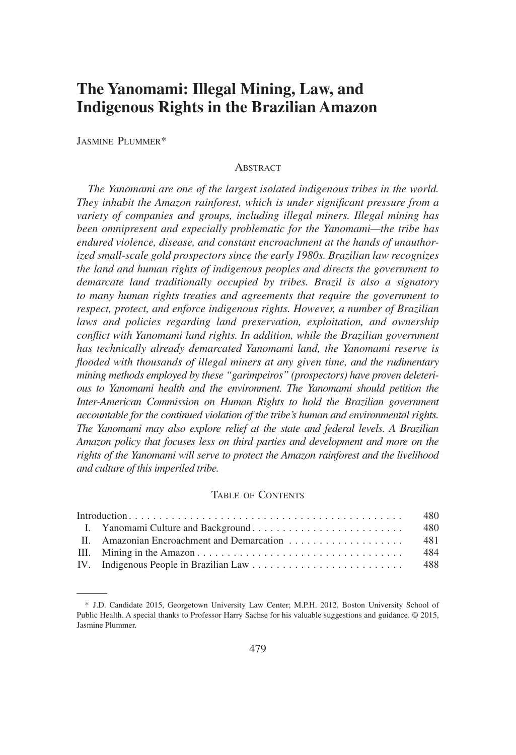# **The Yanomami: Illegal Mining, Law, and Indigenous Rights in the Brazilian Amazon**

JASMINE PLUMMER\*

#### ABSTRACT

*The Yanomami are one of the largest isolated indigenous tribes in the world. They inhabit the Amazon rainforest, which is under significant pressure from a variety of companies and groups, including illegal miners. Illegal mining has been omnipresent and especially problematic for the Yanomami—the tribe has endured violence, disease, and constant encroachment at the hands of unauthorized small-scale gold prospectors since the early 1980s. Brazilian law recognizes the land and human rights of indigenous peoples and directs the government to demarcate land traditionally occupied by tribes. Brazil is also a signatory to many human rights treaties and agreements that require the government to respect, protect, and enforce indigenous rights. However, a number of Brazilian laws and policies regarding land preservation, exploitation, and ownership conflict with Yanomami land rights. In addition, while the Brazilian government has technically already demarcated Yanomami land, the Yanomami reserve is flooded with thousands of illegal miners at any given time, and the rudimentary mining methods employed by these "garimpeiros" (prospectors) have proven deleterious to Yanomami health and the environment. The Yanomami should petition the Inter-American Commission on Human Rights to hold the Brazilian government accountable for the continued violation of the tribe's human and environmental rights. The Yanomami may also explore relief at the state and federal levels. A Brazilian Amazon policy that focuses less on third parties and development and more on the rights of the Yanomami will serve to protect the Amazon rainforest and the livelihood and culture of this imperiled tribe.*

#### TABLE OF CONTENTS

|  |  | 484 |
|--|--|-----|
|  |  |     |

<sup>\*</sup> J.D. Candidate 2015, Georgetown University Law Center; M.P.H. 2012, Boston University School of Public Health. A special thanks to Professor Harry Sachse for his valuable suggestions and guidance. © 2015, Jasmine Plummer.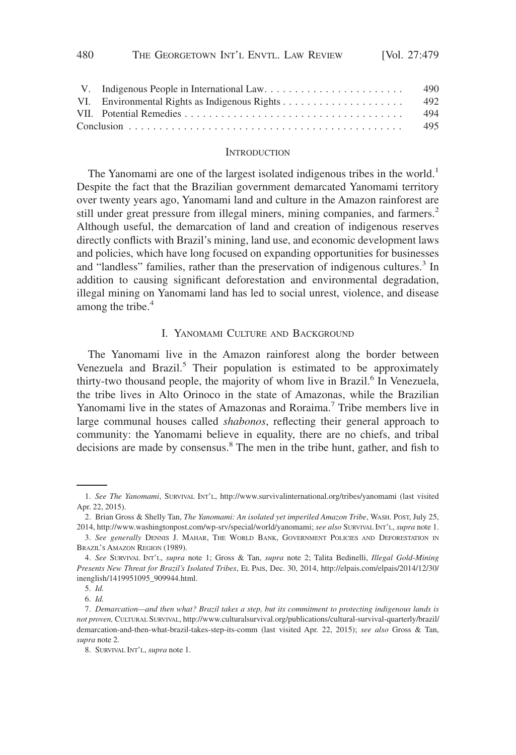|  | 490   |
|--|-------|
|  | - 492 |
|  | 494   |
|  | 495   |

#### **INTRODUCTION**

The Yanomami are one of the largest isolated indigenous tribes in the world.<sup>1</sup> Despite the fact that the Brazilian government demarcated Yanomami territory over twenty years ago, Yanomami land and culture in the Amazon rainforest are still under great pressure from illegal miners, mining companies, and farmers.<sup>2</sup> Although useful, the demarcation of land and creation of indigenous reserves directly conflicts with Brazil's mining, land use, and economic development laws and policies, which have long focused on expanding opportunities for businesses and "landless" families, rather than the preservation of indigenous cultures.<sup>3</sup> In addition to causing significant deforestation and environmental degradation, illegal mining on Yanomami land has led to social unrest, violence, and disease among the tribe.<sup>4</sup>

# I. YANOMAMI CULTURE AND BACKGROUND

The Yanomami live in the Amazon rainforest along the border between Venezuela and Brazil.<sup>5</sup> Their population is estimated to be approximately thirty-two thousand people, the majority of whom live in Brazil.<sup>6</sup> In Venezuela, the tribe lives in Alto Orinoco in the state of Amazonas, while the Brazilian Yanomami live in the states of Amazonas and Roraima.<sup>7</sup> Tribe members live in large communal houses called *shabonos*, reflecting their general approach to community: the Yanomami believe in equality, there are no chiefs, and tribal decisions are made by consensus.<sup>8</sup> The men in the tribe hunt, gather, and fish to

<sup>1.</sup> *See The Yanomami*, SURVIVAL INT'L, http://www.survivalinternational.org/tribes/yanomami (last visited Apr. 22, 2015).

<sup>2.</sup> Brian Gross & Shelly Tan, *The Yanomami: An isolated yet imperiled Amazon Tribe*, WASH. POST, July 25, 2014, http://www.washingtonpost.com/wp-srv/special/world/yanomami; *see also* SURVIVAL INT'L, *supra* note 1.

<sup>3.</sup> *See generally* DENNIS J. MAHAR, THE WORLD BANK, GOVERNMENT POLICIES AND DEFORESTATION IN BRAZIL'S AMAZON REGION (1989).

<sup>4.</sup> *See* SURVIVAL INT'L, *supra* note 1; Gross & Tan, *supra* note 2; Talita Bedinelli, *Illegal Gold-Mining Presents New Threat for Brazil's Isolated Tribes*, EL PAIS, Dec. 30, 2014, http://elpais.com/elpais/2014/12/30/ inenglish/1419951095\_909944.html.

<sup>5.</sup> *Id.*

<sup>6.</sup> *Id.*

<sup>7.</sup> *Demarcation—and then what? Brazil takes a step, but its commitment to protecting indigenous lands is not proven,* CULTURAL SURVIVAL, http://www.culturalsurvival.org/publications/cultural-survival-quarterly/brazil/ demarcation-and-then-what-brazil-takes-step-its-comm (last visited Apr. 22, 2015); *see also* Gross & Tan, *supra* note 2.

<sup>8.</sup> SURVIVAL INT'L, *supra* note 1.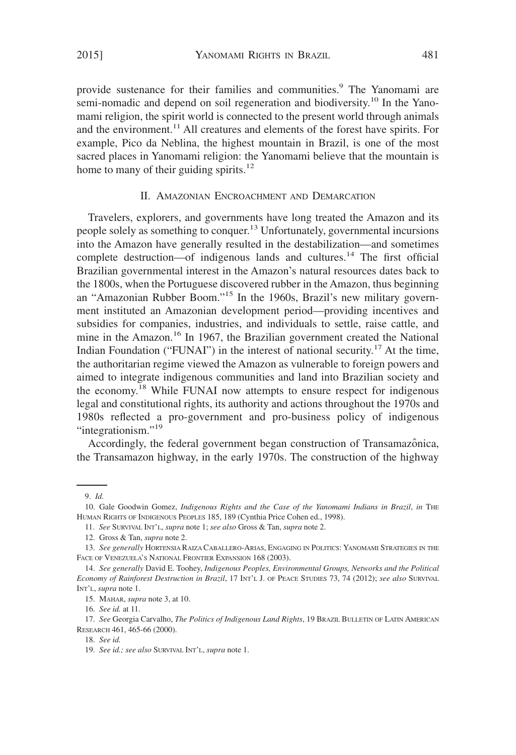provide sustenance for their families and communities.<sup>9</sup> The Yanomami are semi-nomadic and depend on soil regeneration and biodiversity.<sup>10</sup> In the Yanomami religion, the spirit world is connected to the present world through animals and the environment. $^{11}$  All creatures and elements of the forest have spirits. For example, Pico da Neblina, the highest mountain in Brazil, is one of the most sacred places in Yanomami religion: the Yanomami believe that the mountain is home to many of their guiding spirits.<sup>12</sup>

#### II. AMAZONIAN ENCROACHMENT AND DEMARCATION

Travelers, explorers, and governments have long treated the Amazon and its people solely as something to conquer.13 Unfortunately, governmental incursions into the Amazon have generally resulted in the destabilization—and sometimes complete destruction—of indigenous lands and cultures.<sup>14</sup> The first official Brazilian governmental interest in the Amazon's natural resources dates back to the 1800s, when the Portuguese discovered rubber in the Amazon, thus beginning an "Amazonian Rubber Boom."15 In the 1960s, Brazil's new military government instituted an Amazonian development period—providing incentives and subsidies for companies, industries, and individuals to settle, raise cattle, and mine in the Amazon.<sup>16</sup> In 1967, the Brazilian government created the National Indian Foundation ("FUNAI") in the interest of national security.<sup>17</sup> At the time, the authoritarian regime viewed the Amazon as vulnerable to foreign powers and aimed to integrate indigenous communities and land into Brazilian society and the economy.<sup>18</sup> While FUNAI now attempts to ensure respect for indigenous legal and constitutional rights, its authority and actions throughout the 1970s and 1980s reflected a pro-government and pro-business policy of indigenous "integrationism."<sup>19</sup>

Accordingly, the federal government began construction of Transamazônica, the Transamazon highway, in the early 1970s. The construction of the highway

16. *See id.* at 11.

<sup>9.</sup> *Id.*

<sup>10.</sup> Gale Goodwin Gomez, *Indigenous Rights and the Case of the Yanomami Indians in Brazil*, *in* THE HUMAN RIGHTS OF INDIGENOUS PEOPLES 185, 189 (Cynthia Price Cohen ed., 1998).

<sup>11.</sup> *See* SURVIVAL INT'L, *supra* note 1; *see also* Gross & Tan, *supra* note 2.

<sup>12.</sup> Gross & Tan, *supra* note 2.

<sup>13.</sup> *See generally* HORTENSIA RAIZA CABALLERO-ARIAS, ENGAGING IN POLITICS: YANOMAMI STRATEGIES IN THE FACE OF VENEZUELA'S NATIONAL FRONTIER EXPANSION 168 (2003).

<sup>14.</sup> *See generally* David E. Toohey, *Indigenous Peoples, Environmental Groups, Networks and the Political Economy of Rainforest Destruction in Brazil*, 17 INT'L J. OF PEACE STUDIES 73, 74 (2012); *see also* SURVIVAL INT'L, *supra* note 1.

<sup>15.</sup> MAHAR, *supra* note 3, at 10.

<sup>17.</sup> *See* Georgia Carvalho, *The Politics of Indigenous Land Rights*, 19 BRAZIL BULLETIN OF LATIN AMERICAN RESEARCH 461, 465-66 (2000).

<sup>18.</sup> *See id.*

<sup>19.</sup> *See id.; see also* SURVIVAL INT'L, *supra* note 1.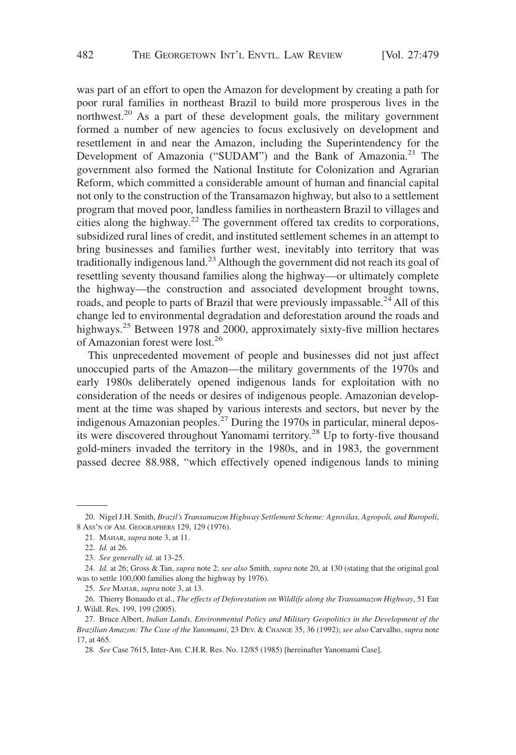was part of an effort to open the Amazon for development by creating a path for poor rural families in northeast Brazil to build more prosperous lives in the northwest.<sup>20</sup> As a part of these development goals, the military government formed a number of new agencies to focus exclusively on development and resettlement in and near the Amazon, including the Superintendency for the Development of Amazonia ("SUDAM") and the Bank of Amazonia.<sup>21</sup> The government also formed the National Institute for Colonization and Agrarian Reform, which committed a considerable amount of human and financial capital not only to the construction of the Transamazon highway, but also to a settlement program that moved poor, landless families in northeastern Brazil to villages and cities along the highway.<sup>22</sup> The government offered tax credits to corporations, subsidized rural lines of credit, and instituted settlement schemes in an attempt to bring businesses and families further west, inevitably into territory that was traditionally indigenous land.<sup>23</sup> Although the government did not reach its goal of resettling seventy thousand families along the highway—or ultimately complete the highway—the construction and associated development brought towns, roads, and people to parts of Brazil that were previously impassable.<sup>24</sup> All of this change led to environmental degradation and deforestation around the roads and highways.<sup>25</sup> Between 1978 and 2000, approximately sixty-five million hectares of Amazonian forest were lost.26

This unprecedented movement of people and businesses did not just affect unoccupied parts of the Amazon—the military governments of the 1970s and early 1980s deliberately opened indigenous lands for exploitation with no consideration of the needs or desires of indigenous people. Amazonian development at the time was shaped by various interests and sectors, but never by the indigenous Amazonian peoples.<sup>27</sup> During the 1970s in particular, mineral deposits were discovered throughout Yanomami territory.28 Up to forty-five thousand gold-miners invaded the territory in the 1980s, and in 1983, the government passed decree 88.988, "which effectively opened indigenous lands to mining

<sup>20.</sup> Nigel J.H. Smith, *Brazil's Transamazon Highway Settlement Scheme: Agrovilas, Agropoli, and Ruropoli*, 8 ASS'N OF AM. GEOGRAPHERS 129, 129 (1976).

<sup>21.</sup> MAHAR, *supra* note 3, at 11.

<sup>22.</sup> *Id.* at 26.

<sup>23.</sup> *See generally id.* at 13-25.

<sup>24.</sup> *Id.* at 26; Gross & Tan, *supra* note 2; *see also* Smith, *supra* note 20, at 130 (stating that the original goal was to settle 100,000 families along the highway by 1976).

<sup>25.</sup> *See* MAHAR, *supra* note 3, at 13.

<sup>26.</sup> Thierry Bonaudo et al., *The effects of Deforestation on Wildlife along the Transamazon Highway*, 51 Eur J. Wildl. Res. 199, 199 (2005).

<sup>27.</sup> Bruce Albert, *Indian Lands, Environmental Policy and Military Geopolitics in the Development of the Brazilian Amazon: The Case of the Yanomami*, 23 DEV.&CHANGE 35, 36 (1992); *see also* Carvalho, *supra* note 17, at 465.

<sup>28.</sup> *See* Case 7615, Inter-Am. C.H.R. Res. No. 12/85 (1985) [hereinafter Yanomami Case].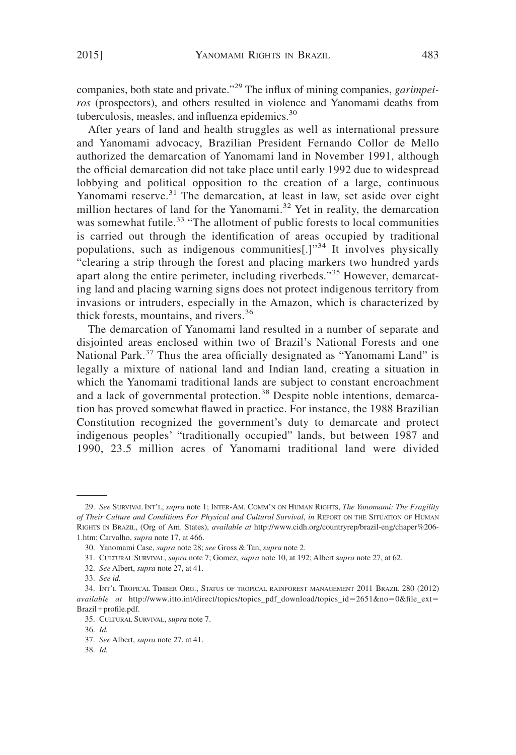companies, both state and private."<sup>29</sup> The influx of mining companies, *garimpeiros* (prospectors), and others resulted in violence and Yanomami deaths from tuberculosis, measles, and influenza epidemics.<sup>30</sup>

After years of land and health struggles as well as international pressure and Yanomami advocacy, Brazilian President Fernando Collor de Mello authorized the demarcation of Yanomami land in November 1991, although the official demarcation did not take place until early 1992 due to widespread lobbying and political opposition to the creation of a large, continuous Yanomami reserve.<sup>31</sup> The demarcation, at least in law, set aside over eight million hectares of land for the Yanomami.<sup>32</sup> Yet in reality, the demarcation was somewhat futile.<sup>33</sup> "The allotment of public forests to local communities is carried out through the identification of areas occupied by traditional populations, such as indigenous communities[.]"<sup>34</sup> It involves physically "clearing a strip through the forest and placing markers two hundred yards apart along the entire perimeter, including riverbeds."<sup>35</sup> However, demarcating land and placing warning signs does not protect indigenous territory from invasions or intruders, especially in the Amazon, which is characterized by thick forests, mountains, and rivers.<sup>36</sup>

The demarcation of Yanomami land resulted in a number of separate and disjointed areas enclosed within two of Brazil's National Forests and one National Park.<sup>37</sup> Thus the area officially designated as "Yanomami Land" is legally a mixture of national land and Indian land, creating a situation in which the Yanomami traditional lands are subject to constant encroachment and a lack of governmental protection.<sup>38</sup> Despite noble intentions, demarcation has proved somewhat flawed in practice. For instance, the 1988 Brazilian Constitution recognized the government's duty to demarcate and protect indigenous peoples' "traditionally occupied" lands, but between 1987 and 1990, 23.5 million acres of Yanomami traditional land were divided

- 32. *See* Albert, *supra* note 27, at 41.
- 33. *See id.*

<sup>29.</sup> *See* SURVIVAL INT'L, *supra* note 1; INTER-AM. COMM'N ON HUMAN RIGHTS, *The Yanomami: The Fragility of Their Culture and Conditions For Physical and Cultural Survival*, *in* REPORT ON THE SITUATION OF HUMAN RIGHTS IN BRAZIL, (Org of Am. States), *available at* http://www.cidh.org/countryrep/brazil-eng/chaper%206- 1.htm; Carvalho, *supra* note 17, at 466.

<sup>30.</sup> Yanomami Case, *supra* note 28; *see* Gross & Tan, *supra* note 2.

<sup>31.</sup> CULTURAL SURVIVAL, *supra* note 7; Gomez, *supra* note 10, at 192; Albert s*upra* note 27, at 62.

<sup>34.</sup> INT'L TROPICAL TIMBER ORG., STATUS OF TROPICAL RAINFOREST MANAGEMENT 2011 BRAZIL 280 (2012) *available at* http://www.itto.int/direct/topics/topics\_pdf\_download/topics\_id-2651&no-0&file\_ext- Brazil+profile.pdf.

<sup>35.</sup> CULTURAL SURVIVAL, *supra* note 7.

<sup>36.</sup> *Id.*

<sup>37.</sup> *See* Albert, *supra* note 27, at 41.

<sup>38.</sup> *Id.*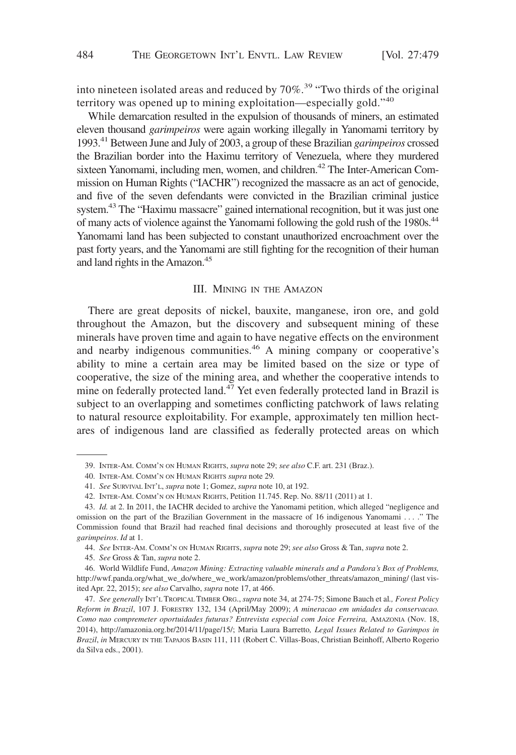into nineteen isolated areas and reduced by  $70\%$ <sup>39</sup> "Two thirds of the original" territory was opened up to mining exploitation—especially gold."<sup>40</sup>

While demarcation resulted in the expulsion of thousands of miners, an estimated eleven thousand *garimpeiros* were again working illegally in Yanomami territory by 1993.41Between June and July of 2003, a group of these Brazilian *garimpeiros* crossed the Brazilian border into the Haximu territory of Venezuela, where they murdered sixteen Yanomami, including men, women, and children.<sup>42</sup> The Inter-American Commission on Human Rights ("IACHR") recognized the massacre as an act of genocide, and five of the seven defendants were convicted in the Brazilian criminal justice system.<sup>43</sup> The "Haximu massacre" gained international recognition, but it was just one of many acts of violence against the Yanomami following the gold rush of the 1980s.<sup>44</sup> Yanomami land has been subjected to constant unauthorized encroachment over the past forty years, and the Yanomami are still fighting for the recognition of their human and land rights in the Amazon.<sup>45</sup>

#### III. MINING IN THE AMAZON

There are great deposits of nickel, bauxite, manganese, iron ore, and gold throughout the Amazon, but the discovery and subsequent mining of these minerals have proven time and again to have negative effects on the environment and nearby indigenous communities.<sup>46</sup> A mining company or cooperative's ability to mine a certain area may be limited based on the size or type of cooperative, the size of the mining area, and whether the cooperative intends to mine on federally protected land.<sup>47</sup> Yet even federally protected land in Brazil is subject to an overlapping and sometimes conflicting patchwork of laws relating to natural resource exploitability. For example, approximately ten million hectares of indigenous land are classified as federally protected areas on which

45. *See* Gross & Tan, *supra* note 2.

46. World Wildlife Fund, *Amazon Mining: Extracting valuable minerals and a Pandora's Box of Problems,* http://wwf.panda.org/what\_we\_do/where\_we\_work/amazon/problems/other\_threats/amazon\_mining/ (last visited Apr. 22, 2015); *see also* Carvalho, *supra* note 17, at 466.

<sup>39.</sup> INTER-AM. COMM'N ON HUMAN RIGHTS, *supra* note 29; *see also* C.F. art. 231 (Braz.).

<sup>40.</sup> INTER-AM. COMM'N ON HUMAN RIGHTS *supra* note 29*.*

<sup>41.</sup> *See* SURVIVAL INT'L, *supra* note 1; Gomez, *supra* note 10, at 192.

<sup>42.</sup> INTER-AM. COMM'N ON HUMAN RIGHTS, Petition 11.745. Rep. No. 88/11 (2011) at 1.

<sup>43.</sup> *Id.* at 2. In 2011, the IACHR decided to archive the Yanomami petition, which alleged "negligence and omission on the part of the Brazilian Government in the massacre of 16 indigenous Yanomami . . . ." The Commission found that Brazil had reached final decisions and thoroughly prosecuted at least five of the *garimpeiros*. *Id* at 1.

<sup>44.</sup> *See* INTER-AM. COMM'N ON HUMAN RIGHTS, *supra* note 29; *see also* Gross & Tan, *supra* note 2.

<sup>47.</sup> *See generally* INT'L TROPICAL TIMBER ORG., *supra* note 34, at 274-75; Simone Bauch et al*., Forest Policy Reform in Brazil*, 107 J. FORESTRY 132, 134 (April/May 2009); *A mineracao em unidades da conservacao. Como nao compremeter oportuidades futuras? Entrevista especial com Joice Ferreira,* AMAZONIA (Nov. 18, 2014), http://amazonia.org.br/2014/11/page/15/; Maria Laura Barretto*, Legal Issues Related to Garimpos in Brazil*, *in* MERCURY IN THE TAPAJOS BASIN 111, 111 (Robert C. Villas-Boas, Christian Beinhoff, Alberto Rogerio da Silva eds., 2001).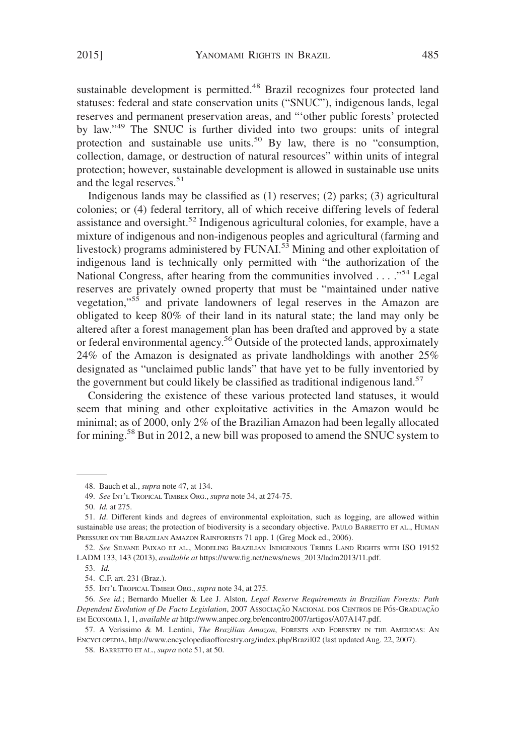sustainable development is permitted.<sup>48</sup> Brazil recognizes four protected land statuses: federal and state conservation units ("SNUC"), indigenous lands, legal reserves and permanent preservation areas, and "'other public forests' protected by law."49 The SNUC is further divided into two groups: units of integral protection and sustainable use units.<sup>50</sup> By law, there is no "consumption, collection, damage, or destruction of natural resources" within units of integral protection; however, sustainable development is allowed in sustainable use units and the legal reserves.<sup>51</sup>

Indigenous lands may be classified as (1) reserves; (2) parks; (3) agricultural colonies; or (4) federal territory, all of which receive differing levels of federal assistance and oversight.<sup>52</sup> Indigenous agricultural colonies, for example, have a mixture of indigenous and non-indigenous peoples and agricultural (farming and livestock) programs administered by  $FUNAI<sub>2</sub>$ <sup>53</sup> Mining and other exploitation of indigenous land is technically only permitted with "the authorization of the National Congress, after hearing from the communities involved . . . . "<sup>54</sup> Legal reserves are privately owned property that must be "maintained under native vegetation,"<sup>55</sup> and private landowners of legal reserves in the Amazon are obligated to keep 80% of their land in its natural state; the land may only be altered after a forest management plan has been drafted and approved by a state or federal environmental agency.<sup>56</sup> Outside of the protected lands, approximately 24% of the Amazon is designated as private landholdings with another 25% designated as "unclaimed public lands" that have yet to be fully inventoried by the government but could likely be classified as traditional indigenous land.<sup>57</sup>

Considering the existence of these various protected land statuses, it would seem that mining and other exploitative activities in the Amazon would be minimal; as of 2000, only 2% of the Brazilian Amazon had been legally allocated for mining.<sup>58</sup> But in 2012, a new bill was proposed to amend the SNUC system to

<sup>48.</sup> Bauch et al*.*, *supra* note 47, at 134.

<sup>49.</sup> *See* INT'L TROPICAL TIMBER ORG., *supra* note 34, at 274-75.

<sup>50.</sup> *Id.* at 275.

<sup>51.</sup> *Id*. Different kinds and degrees of environmental exploitation, such as logging, are allowed within sustainable use areas; the protection of biodiversity is a secondary objective. PAULO BARRETTO ET AL., HUMAN PRESSURE ON THE BRAZILIAN AMAZON RAINFORESTS 71 app. 1 (Greg Mock ed., 2006).

<sup>52.</sup> *See* SILVANE PAIXAO ET AL., MODELING BRAZILIAN INDIGENOUS TRIBES LAND RIGHTS WITH ISO 19152 LADM 133, 143 (2013), *available at* https://www.fig.net/news/news\_2013/ladm2013/11.pdf.

<sup>53.</sup> *Id.*

<sup>54.</sup> C.F. art. 231 (Braz.).

<sup>55.</sup> INT'L TROPICAL TIMBER ORG., *supra* note 34, at 275.

<sup>56.</sup> *See id.*; Bernardo Mueller & Lee J. Alston*, Legal Reserve Requirements in Brazilian Forests: Path Dependent Evolution of De Facto Legislation*, 2007 ASSOCIACÃO NACIONAL DOS CENTROS DE PÓS-GRADUACÃO EM ECONOMIA 1, 1, *available at* http://www.anpec.org.br/encontro2007/artigos/A07A147.pdf.

<sup>57.</sup> A Verissimo & M. Lentini, *The Brazilian Amazon*, FORESTS AND FORESTRY IN THE AMERICAS: AN ENCYCLOPEDIA, http://www.encyclopediaofforestry.org/index.php/Brazil02 (last updated Aug. 22, 2007).

<sup>58.</sup> BARRETTO ET AL., *supra* note 51, at 50.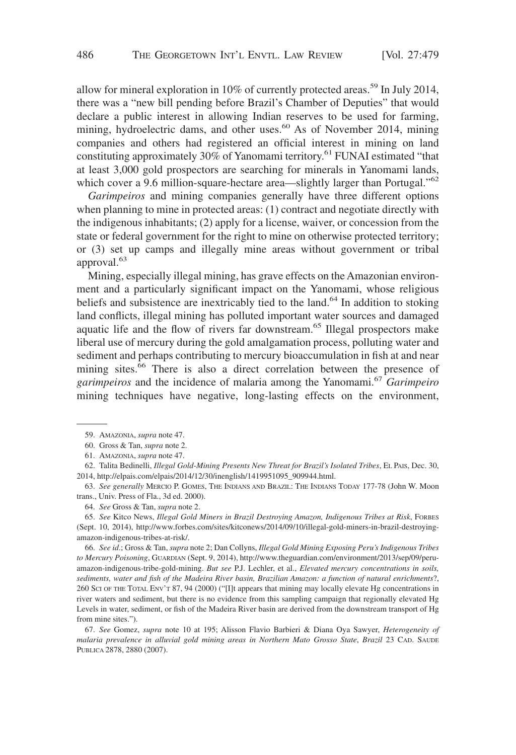allow for mineral exploration in 10% of currently protected areas.<sup>59</sup> In July 2014, there was a "new bill pending before Brazil's Chamber of Deputies" that would declare a public interest in allowing Indian reserves to be used for farming, mining, hydroelectric dams, and other uses.<sup>60</sup> As of November 2014, mining companies and others had registered an official interest in mining on land constituting approximately 30% of Yanomami territory.<sup>61</sup> FUNAI estimated "that at least 3,000 gold prospectors are searching for minerals in Yanomami lands, which cover a 9.6 million-square-hectare area—slightly larger than Portugal."<sup>62</sup>

*Garimpeiros* and mining companies generally have three different options when planning to mine in protected areas: (1) contract and negotiate directly with the indigenous inhabitants; (2) apply for a license, waiver, or concession from the state or federal government for the right to mine on otherwise protected territory; or (3) set up camps and illegally mine areas without government or tribal approval.<sup>63</sup>

Mining, especially illegal mining, has grave effects on the Amazonian environment and a particularly significant impact on the Yanomami, whose religious beliefs and subsistence are inextricably tied to the land.<sup>64</sup> In addition to stoking land conflicts, illegal mining has polluted important water sources and damaged aquatic life and the flow of rivers far downstream.<sup>65</sup> Illegal prospectors make liberal use of mercury during the gold amalgamation process, polluting water and sediment and perhaps contributing to mercury bioaccumulation in fish at and near mining sites.<sup>66</sup> There is also a direct correlation between the presence of *garimpeiros* and the incidence of malaria among the Yanomami.<sup>67</sup> *Garimpeiro* mining techniques have negative, long-lasting effects on the environment,

64. *See* Gross & Tan, *supra* note 2.

65. *See* Kitco News, *Illegal Gold Miners in Brazil Destroying Amazon, Indigenous Tribes at Risk*, FORBES (Sept. 10, 2014), http://www.forbes.com/sites/kitconews/2014/09/10/illegal-gold-miners-in-brazil-destroyingamazon-indigenous-tribes-at-risk/.

66. *See id*.; Gross & Tan, *supra* note 2; Dan Collyns, *Illegal Gold Mining Exposing Peru's Indigenous Tribes to Mercury Poisoning*, GUARDIAN (Sept. 9, 2014), http://www.theguardian.com/environment/2013/sep/09/peruamazon-indigenous-tribe-gold-mining. *But see* P.J. Lechler, et al., *Elevated mercury concentrations in soils, sediments, water and fish of the Madeira River basin, Brazilian Amazon: a function of natural enrichments*?, 260 SCI OF THE TOTAL ENV'T 87, 94 (2000) ("[I]t appears that mining may locally elevate Hg concentrations in river waters and sediment, but there is no evidence from this sampling campaign that regionally elevated Hg Levels in water, sediment, or fish of the Madeira River basin are derived from the downstream transport of Hg from mine sites.").

67. *See* Gomez, *supra* note 10 at 195; Alisson Flavio Barbieri & Diana Oya Sawyer, *Heterogeneity of malaria prevalence in alluvial gold mining areas in Northern Mato Grosso State*, *Brazil* 23 CAD. SAUDE PUBLICA 2878, 2880 (2007).

<sup>59.</sup> AMAZONIA, *supra* note 47.

<sup>60.</sup> Gross & Tan, *supra* note 2.

<sup>61.</sup> AMAZONIA, *supra* note 47.

<sup>62.</sup> Talita Bedinelli, *Illegal Gold-Mining Presents New Threat for Brazil's Isolated Tribes*, EL PAIS, Dec. 30, 2014, http://elpais.com/elpais/2014/12/30/inenglish/1419951095\_909944.html.

<sup>63.</sup> *See generally* MERCIO P. GOMES, THE INDIANS AND BRAZIL: THE INDIANS TODAY 177-78 (John W. Moon trans., Univ. Press of Fla., 3d ed. 2000).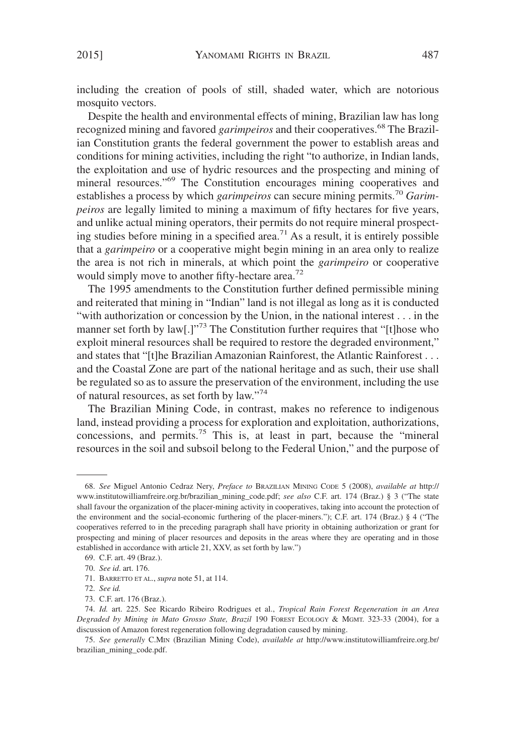including the creation of pools of still, shaded water, which are notorious mosquito vectors.

Despite the health and environmental effects of mining, Brazilian law has long recognized mining and favored *garimpeiros* and their cooperatives.<sup>68</sup> The Brazilian Constitution grants the federal government the power to establish areas and conditions for mining activities, including the right "to authorize, in Indian lands, the exploitation and use of hydric resources and the prospecting and mining of mineral resources."<sup>69</sup> The Constitution encourages mining cooperatives and establishes a process by which *garimpeiros* can secure mining permits.<sup>70</sup> *Garimpeiros* are legally limited to mining a maximum of fifty hectares for five years, and unlike actual mining operators, their permits do not require mineral prospecting studies before mining in a specified area.<sup>71</sup> As a result, it is entirely possible that a *garimpeiro* or a cooperative might begin mining in an area only to realize the area is not rich in minerals, at which point the *garimpeiro* or cooperative would simply move to another fifty-hectare area.<sup>72</sup>

The 1995 amendments to the Constitution further defined permissible mining and reiterated that mining in "Indian" land is not illegal as long as it is conducted "with authorization or concession by the Union, in the national interest . . . in the manner set forth by law[.]"<sup>73</sup> The Constitution further requires that "[t]hose who exploit mineral resources shall be required to restore the degraded environment," and states that "[t]he Brazilian Amazonian Rainforest, the Atlantic Rainforest . . . and the Coastal Zone are part of the national heritage and as such, their use shall be regulated so as to assure the preservation of the environment, including the use of natural resources, as set forth by law."74

The Brazilian Mining Code, in contrast, makes no reference to indigenous land, instead providing a process for exploration and exploitation, authorizations, concessions, and permits.<sup>75</sup> This is, at least in part, because the "mineral resources in the soil and subsoil belong to the Federal Union," and the purpose of

71. BARRETTO ET AL., *supra* note 51, at 114.

<sup>68.</sup> *See* Miguel Antonio Cedraz Nery, *Preface to* BRAZILIAN MINING CODE 5 (2008), *available at* http:// www.institutowilliamfreire.org.br/brazilian\_mining\_code.pdf; *see also* C.F. art. 174 (Braz.) § 3 ("The state shall favour the organization of the placer-mining activity in cooperatives, taking into account the protection of the environment and the social-economic furthering of the placer-miners."); C.F. art. 174 (Braz.) § 4 ("The cooperatives referred to in the preceding paragraph shall have priority in obtaining authorization or grant for prospecting and mining of placer resources and deposits in the areas where they are operating and in those established in accordance with article 21, XXV, as set forth by law.")

<sup>69.</sup> C.F. art. 49 (Braz.).

<sup>70.</sup> *See id*. art. 176.

<sup>72.</sup> *See id.*

<sup>73.</sup> C.F. art. 176 (Braz.).

<sup>74.</sup> *Id.* art. 225. See Ricardo Ribeiro Rodrigues et al., *Tropical Rain Forest Regeneration in an Area Degraded by Mining in Mato Grosso State, Brazil* 190 FOREST ECOLOGY & MGMT. 323-33 (2004), for a discussion of Amazon forest regeneration following degradation caused by mining.

<sup>75.</sup> *See generally* C.MIN (Brazilian Mining Code), *available at* http://www.institutowilliamfreire.org.br/ brazilian\_mining\_code.pdf.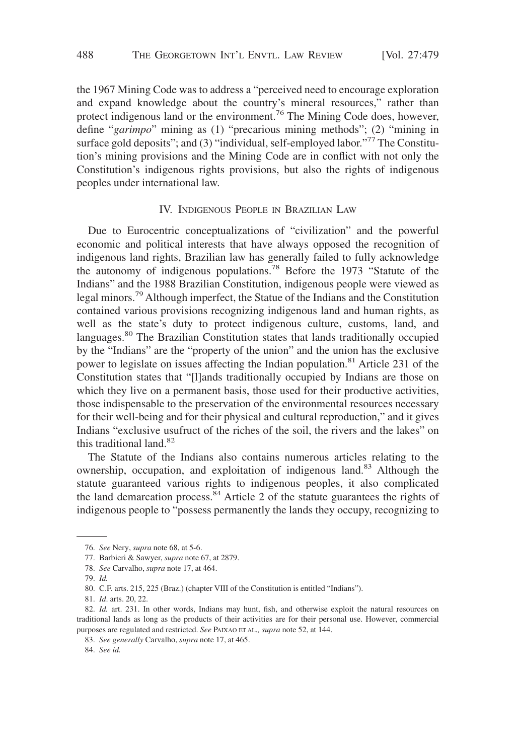the 1967 Mining Code was to address a "perceived need to encourage exploration and expand knowledge about the country's mineral resources," rather than protect indigenous land or the environment.<sup>76</sup> The Mining Code does, however, define "*garimpo*" mining as (1) "precarious mining methods"; (2) "mining in surface gold deposits"; and (3) "individual, self-employed labor."<sup>77</sup> The Constitution's mining provisions and the Mining Code are in conflict with not only the Constitution's indigenous rights provisions, but also the rights of indigenous peoples under international law.

## IV. INDIGENOUS PEOPLE IN BRAZILIAN LAW

Due to Eurocentric conceptualizations of "civilization" and the powerful economic and political interests that have always opposed the recognition of indigenous land rights, Brazilian law has generally failed to fully acknowledge the autonomy of indigenous populations.<sup>78</sup> Before the 1973 "Statute of the Indians" and the 1988 Brazilian Constitution, indigenous people were viewed as legal minors.79Although imperfect, the Statue of the Indians and the Constitution contained various provisions recognizing indigenous land and human rights, as well as the state's duty to protect indigenous culture, customs, land, and languages.<sup>80</sup> The Brazilian Constitution states that lands traditionally occupied by the "Indians" are the "property of the union" and the union has the exclusive power to legislate on issues affecting the Indian population.<sup>81</sup> Article 231 of the Constitution states that "[l]ands traditionally occupied by Indians are those on which they live on a permanent basis, those used for their productive activities, those indispensable to the preservation of the environmental resources necessary for their well-being and for their physical and cultural reproduction," and it gives Indians "exclusive usufruct of the riches of the soil, the rivers and the lakes" on this traditional land.<sup>82</sup>

The Statute of the Indians also contains numerous articles relating to the ownership, occupation, and exploitation of indigenous land.<sup>83</sup> Although the statute guaranteed various rights to indigenous peoples, it also complicated the land demarcation process. $84$  Article 2 of the statute guarantees the rights of indigenous people to "possess permanently the lands they occupy, recognizing to

<sup>76.</sup> *See* Nery, *supra* note 68, at 5-6.

<sup>77.</sup> Barbieri & Sawyer, *supra* note 67, at 2879.

<sup>78.</sup> *See* Carvalho, *supra* note 17, at 464.

<sup>79.</sup> *Id.*

<sup>80.</sup> C.F. arts. 215, 225 (Braz.) (chapter VIII of the Constitution is entitled "Indians").

<sup>81.</sup> *Id*. arts. 20, 22.

<sup>82.</sup> *Id.* art. 231. In other words, Indians may hunt, fish, and otherwise exploit the natural resources on traditional lands as long as the products of their activities are for their personal use. However, commercial purposes are regulated and restricted. *See* PAIXAO ET AL.*, supra* note 52, at 144.

<sup>83.</sup> *See generally* Carvalho, *supra* note 17, at 465.

<sup>84.</sup> *See id.*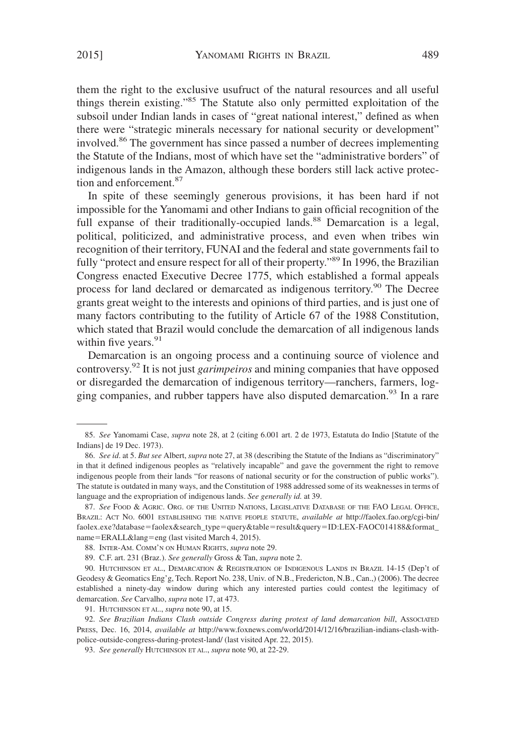them the right to the exclusive usufruct of the natural resources and all useful things therein existing."85 The Statute also only permitted exploitation of the subsoil under Indian lands in cases of "great national interest," defined as when there were "strategic minerals necessary for national security or development" involved.<sup>86</sup> The government has since passed a number of decrees implementing the Statute of the Indians, most of which have set the "administrative borders" of indigenous lands in the Amazon, although these borders still lack active protection and enforcement.<sup>87</sup>

In spite of these seemingly generous provisions, it has been hard if not impossible for the Yanomami and other Indians to gain official recognition of the full expanse of their traditionally-occupied lands.<sup>88</sup> Demarcation is a legal, political, politicized, and administrative process, and even when tribes win recognition of their territory, FUNAI and the federal and state governments fail to fully "protect and ensure respect for all of their property."89 In 1996, the Brazilian Congress enacted Executive Decree 1775, which established a formal appeals process for land declared or demarcated as indigenous territory.<sup>90</sup> The Decree grants great weight to the interests and opinions of third parties, and is just one of many factors contributing to the futility of Article 67 of the 1988 Constitution, which stated that Brazil would conclude the demarcation of all indigenous lands within five years. $91$ 

Demarcation is an ongoing process and a continuing source of violence and controversy.92 It is not just *garimpeiros* and mining companies that have opposed or disregarded the demarcation of indigenous territory—ranchers, farmers, logging companies, and rubber tappers have also disputed demarcation.<sup>93</sup> In a rare

<sup>85.</sup> *See* Yanomami Case, *supra* note 28, at 2 (citing 6.001 art. 2 de 1973, Estatuta do Indio [Statute of the Indians] de 19 Dec. 1973).

<sup>86.</sup> *See id*. at 5. *But see* Albert, *supra* note 27, at 38 (describing the Statute of the Indians as "discriminatory" in that it defined indigenous peoples as "relatively incapable" and gave the government the right to remove indigenous people from their lands "for reasons of national security or for the construction of public works"). The statute is outdated in many ways, and the Constitution of 1988 addressed some of its weaknesses in terms of language and the expropriation of indigenous lands. *See generally id.* at 39.

<sup>87.</sup> *See* FOOD & AGRIC. ORG. OF THE UNITED NATIONS, LEGISLATIVE DATABASE OF THE FAO LEGAL OFFICE, BRAZIL: ACT NO. 6001 ESTABLISHING THE NATIVE PEOPLE STATUTE, *available at* http://faolex.fao.org/cgi-bin/ faolex.exe?database-faolex&search\_type-query&table-result&query-ID:LEX-FAOC014188&format\_ name-ERALL&lang-eng (last visited March 4, 2015).

<sup>88.</sup> INTER-AM. COMM'N ON HUMAN RIGHTS, *supra* note 29.

<sup>89.</sup> C.F. art. 231 (Braz.). *See generally* Gross & Tan, *supra* note 2.

<sup>90.</sup> HUTCHINSON ET AL., DEMARCATION & REGISTRATION OF INDIGENOUS LANDS IN BRAZIL 14-15 (Dep't of Geodesy & Geomatics Eng'g, Tech. Report No. 238, Univ. of N.B., Fredericton, N.B., Can.,) (2006). The decree established a ninety-day window during which any interested parties could contest the legitimacy of demarcation. *See* Carvalho, *supra* note 17, at 473.

<sup>91.</sup> HUTCHINSON ET AL., *supra* note 90, at 15.

<sup>92.</sup> *See Brazilian Indians Clash outside Congress during protest of land demarcation bill*, ASSOCIATED PRESS, Dec. 16, 2014, *available at* http://www.foxnews.com/world/2014/12/16/brazilian-indians-clash-withpolice-outside-congress-during-protest-land/ (last visited Apr. 22, 2015).

<sup>93.</sup> *See generally* HUTCHINSON ET AL., *supra* note 90, at 22-29.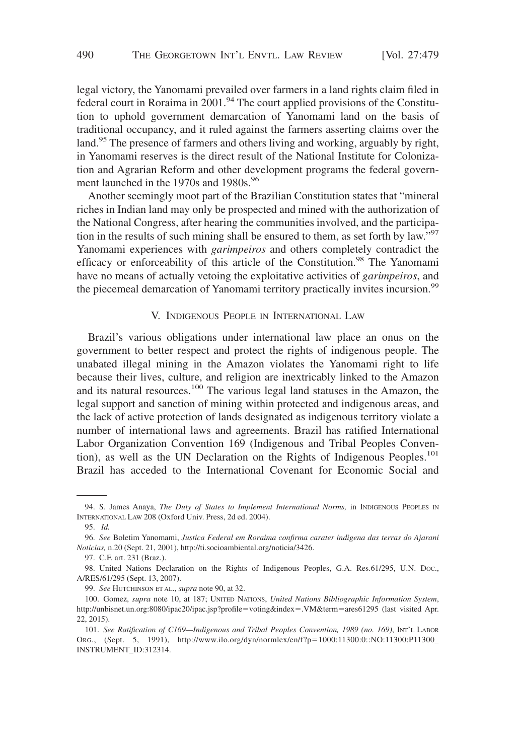legal victory, the Yanomami prevailed over farmers in a land rights claim filed in  $f$  federal court in Roraima in  $2001$ .<sup>94</sup> The court applied provisions of the Constitution to uphold government demarcation of Yanomami land on the basis of traditional occupancy, and it ruled against the farmers asserting claims over the land.<sup>95</sup> The presence of farmers and others living and working, arguably by right, in Yanomami reserves is the direct result of the National Institute for Colonization and Agrarian Reform and other development programs the federal government launched in the 1970s and 1980s.<sup>96</sup>

Another seemingly moot part of the Brazilian Constitution states that "mineral riches in Indian land may only be prospected and mined with the authorization of the National Congress, after hearing the communities involved, and the participation in the results of such mining shall be ensured to them, as set forth by law."<sup>97</sup> Yanomami experiences with *garimpeiros* and others completely contradict the efficacy or enforceability of this article of the Constitution.<sup>98</sup> The Yanomami have no means of actually vetoing the exploitative activities of *garimpeiros*, and the piecemeal demarcation of Yanomami territory practically invites incursion.<sup>99</sup>

## V. INDIGENOUS PEOPLE IN INTERNATIONAL LAW

Brazil's various obligations under international law place an onus on the government to better respect and protect the rights of indigenous people. The unabated illegal mining in the Amazon violates the Yanomami right to life because their lives, culture, and religion are inextricably linked to the Amazon and its natural resources.<sup>100</sup> The various legal land statuses in the Amazon, the legal support and sanction of mining within protected and indigenous areas, and the lack of active protection of lands designated as indigenous territory violate a number of international laws and agreements. Brazil has ratified International Labor Organization Convention 169 (Indigenous and Tribal Peoples Convention), as well as the UN Declaration on the Rights of Indigenous Peoples.<sup>101</sup> Brazil has acceded to the International Covenant for Economic Social and

<sup>94.</sup> S. James Anaya, *The Duty of States to Implement International Norms,* in INDIGENOUS PEOPLES IN INTERNATIONAL LAW 208 (Oxford Univ. Press, 2d ed. 2004).

<sup>95.</sup> *Id.*

<sup>96.</sup> *See* Boletim Yanomami, *Justica Federal em Roraima confirma carater indigena das terras do Ajarani Noticias,* n.20 (Sept. 21, 2001), http://ti.socioambiental.org/noticia/3426.

<sup>97.</sup> C.F. art. 231 (Braz.).

<sup>98.</sup> United Nations Declaration on the Rights of Indigenous Peoples, G.A. Res.61/295, U.N. DOC., A/RES/61/295 (Sept. 13, 2007).

<sup>99.</sup> *See* HUTCHINSON ET AL., *supra* note 90, at 32.

<sup>100.</sup> Gomez, *supra* note 10, at 187; UNITED NATIONS, *United Nations Bibliographic Information System*, http://unbisnet.un.org:8080/ipac20/ipac.jsp?profile=voting&index=.VM&term=ares61295 (last visited Apr. 22, 2015).

<sup>101.</sup> *See Ratification of C169—Indigenous and Tribal Peoples Convention, 1989 (no. 169)*, INT'L LABOR ORG., (Sept. 5, 1991), http://www.ilo.org/dyn/normlex/en/f?p=1000:11300:0::NO:11300:P11300 INSTRUMENT\_ID:312314.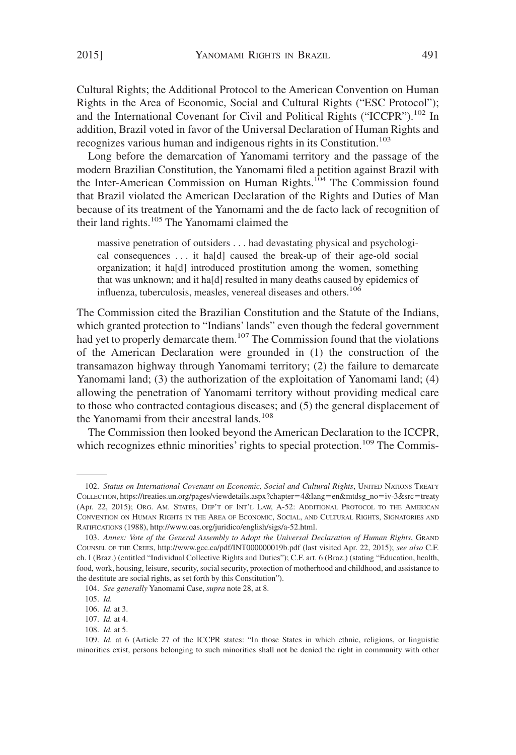Cultural Rights; the Additional Protocol to the American Convention on Human Rights in the Area of Economic, Social and Cultural Rights ("ESC Protocol"); and the International Covenant for Civil and Political Rights ("ICCPR").<sup>102</sup> In addition, Brazil voted in favor of the Universal Declaration of Human Rights and recognizes various human and indigenous rights in its Constitution.<sup>103</sup>

Long before the demarcation of Yanomami territory and the passage of the modern Brazilian Constitution, the Yanomami filed a petition against Brazil with the Inter-American Commission on Human Rights.<sup>104</sup> The Commission found that Brazil violated the American Declaration of the Rights and Duties of Man because of its treatment of the Yanomami and the de facto lack of recognition of their land rights.<sup>105</sup> The Yanomami claimed the

massive penetration of outsiders . . . had devastating physical and psychological consequences . . . it ha[d] caused the break-up of their age-old social organization; it ha[d] introduced prostitution among the women, something that was unknown; and it ha[d] resulted in many deaths caused by epidemics of influenza, tuberculosis, measles, venereal diseases and others.<sup>106</sup>

The Commission cited the Brazilian Constitution and the Statute of the Indians, which granted protection to "Indians' lands" even though the federal government had yet to properly demarcate them.<sup>107</sup> The Commission found that the violations of the American Declaration were grounded in (1) the construction of the transamazon highway through Yanomami territory; (2) the failure to demarcate Yanomami land; (3) the authorization of the exploitation of Yanomami land; (4) allowing the penetration of Yanomami territory without providing medical care to those who contracted contagious diseases; and (5) the general displacement of the Yanomami from their ancestral lands.<sup>108</sup>

The Commission then looked beyond the American Declaration to the ICCPR, which recognizes ethnic minorities' rights to special protection.<sup>109</sup> The Commis-

<sup>102.</sup> *Status on International Covenant on Economic, Social and Cultural Rights*, UNITED NATIONS TREATY CoLLECTION, https://treaties.un.org/pages/viewdetails.aspx?chapter=4&lang=en&mtdsg\_no=iv-3&src=treaty (Apr. 22, 2015); ORG. AM. STATES, DEP'T OF INT'L LAW, A-52: ADDITIONAL PROTOCOL TO THE AMERICAN CONVENTION ON HUMAN RIGHTS IN THE AREA OF ECONOMIC, SOCIAL, AND CULTURAL RIGHTS, SIGNATORIES AND RATIFICATIONS (1988), http://www.oas.org/juridico/english/sigs/a-52.html.

<sup>103.</sup> *Annex: Vote of the General Assembly to Adopt the Universal Declaration of Human Rights*, GRAND COUNSEL OF THE CREES, http://www.gcc.ca/pdf/INT000000019b.pdf (last visited Apr. 22, 2015); *see also* C.F. ch. I (Braz.) (entitled "Individual Collective Rights and Duties"); C.F. art. 6 (Braz.) (stating "Education, health, food, work, housing, leisure, security, social security, protection of motherhood and childhood, and assistance to the destitute are social rights, as set forth by this Constitution").

<sup>104.</sup> *See generally* Yanomami Case, *supra* note 28, at 8.

<sup>105.</sup> *Id.*

<sup>106.</sup> *Id.* at 3.

<sup>107.</sup> *Id.* at 4.

<sup>108.</sup> *Id.* at 5.

<sup>109.</sup> *Id.* at 6 (Article 27 of the ICCPR states: "In those States in which ethnic, religious, or linguistic minorities exist, persons belonging to such minorities shall not be denied the right in community with other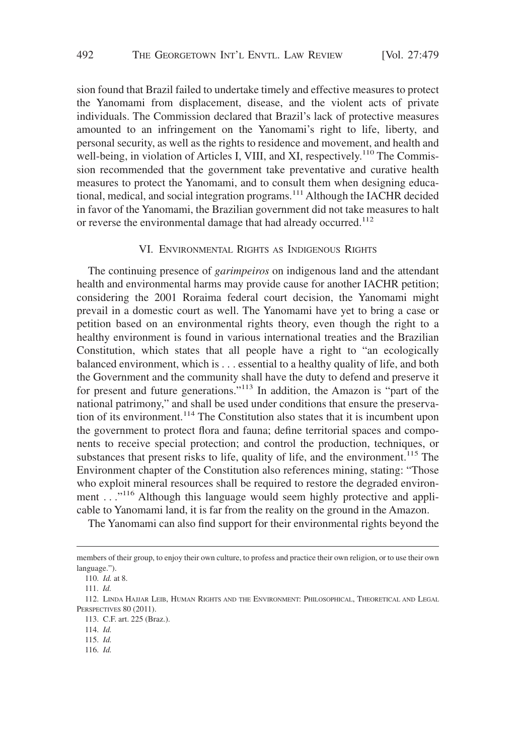sion found that Brazil failed to undertake timely and effective measures to protect the Yanomami from displacement, disease, and the violent acts of private individuals. The Commission declared that Brazil's lack of protective measures amounted to an infringement on the Yanomami's right to life, liberty, and personal security, as well as the rights to residence and movement, and health and well-being, in violation of Articles I, VIII, and XI, respectively.<sup>110</sup> The Commission recommended that the government take preventative and curative health measures to protect the Yanomami, and to consult them when designing educational, medical, and social integration programs.<sup>111</sup> Although the IACHR decided in favor of the Yanomami, the Brazilian government did not take measures to halt or reverse the environmental damage that had already occurred.<sup>112</sup>

## VI. ENVIRONMENTAL RIGHTS AS INDIGENOUS RIGHTS

The continuing presence of *garimpeiros* on indigenous land and the attendant health and environmental harms may provide cause for another IACHR petition; considering the 2001 Roraima federal court decision, the Yanomami might prevail in a domestic court as well. The Yanomami have yet to bring a case or petition based on an environmental rights theory, even though the right to a healthy environment is found in various international treaties and the Brazilian Constitution, which states that all people have a right to "an ecologically balanced environment, which is . . . essential to a healthy quality of life, and both the Government and the community shall have the duty to defend and preserve it for present and future generations."<sup>113</sup> In addition, the Amazon is "part of the national patrimony," and shall be used under conditions that ensure the preservation of its environment.<sup>114</sup> The Constitution also states that it is incumbent upon the government to protect flora and fauna; define territorial spaces and components to receive special protection; and control the production, techniques, or substances that present risks to life, quality of life, and the environment.<sup>115</sup> The Environment chapter of the Constitution also references mining, stating: "Those who exploit mineral resources shall be required to restore the degraded environment . . ."<sup>116</sup> Although this language would seem highly protective and applicable to Yanomami land, it is far from the reality on the ground in the Amazon.

The Yanomami can also find support for their environmental rights beyond the

116. *Id.*

members of their group, to enjoy their own culture, to profess and practice their own religion, or to use their own language.").

<sup>110.</sup> *Id.* at 8.

<sup>111.</sup> *Id.*

<sup>112.</sup> LINDA HAJJAR LEIB, HUMAN RIGHTS AND THE ENVIRONMENT: PHILOSOPHICAL, THEORETICAL AND LEGAL PERSPECTIVES 80 (2011).

<sup>113.</sup> C.F. art. 225 (Braz.).

<sup>114.</sup> *Id.*

<sup>115.</sup> *Id.*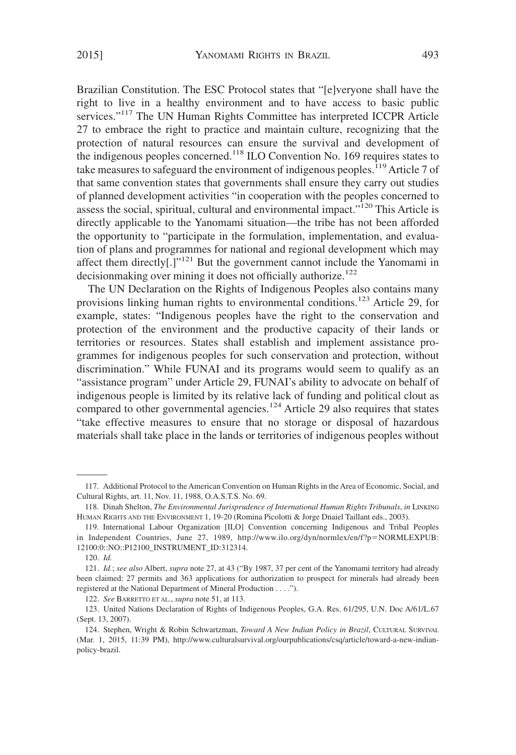Brazilian Constitution. The ESC Protocol states that "[e]veryone shall have the right to live in a healthy environment and to have access to basic public services."<sup>117</sup> The UN Human Rights Committee has interpreted ICCPR Article 27 to embrace the right to practice and maintain culture, recognizing that the protection of natural resources can ensure the survival and development of the indigenous peoples concerned.118 ILO Convention No. 169 requires states to take measures to safeguard the environment of indigenous peoples.<sup>119</sup> Article 7 of that same convention states that governments shall ensure they carry out studies of planned development activities "in cooperation with the peoples concerned to assess the social, spiritual, cultural and environmental impact."120 This Article is directly applicable to the Yanomami situation—the tribe has not been afforded the opportunity to "participate in the formulation, implementation, and evaluation of plans and programmes for national and regional development which may affect them directly[.]"121 But the government cannot include the Yanomami in decision making over mining it does not officially authorize.<sup>122</sup>

The UN Declaration on the Rights of Indigenous Peoples also contains many provisions linking human rights to environmental conditions.123 Article 29, for example, states: "Indigenous peoples have the right to the conservation and protection of the environment and the productive capacity of their lands or territories or resources. States shall establish and implement assistance programmes for indigenous peoples for such conservation and protection, without discrimination." While FUNAI and its programs would seem to qualify as an "assistance program" under Article 29, FUNAI's ability to advocate on behalf of indigenous people is limited by its relative lack of funding and political clout as compared to other governmental agencies.<sup>124</sup> Article 29 also requires that states "take effective measures to ensure that no storage or disposal of hazardous materials shall take place in the lands or territories of indigenous peoples without

<sup>117.</sup> Additional Protocol to the American Convention on Human Rights in the Area of Economic, Social, and Cultural Rights, art. 11, Nov. 11, 1988, O.A.S.T.S. No. 69.

<sup>118.</sup> Dinah Shelton, *The Environmental Jurisprudence of International Human Rights Tribunals*, *in* LINKING HUMAN RIGHTS AND THE ENVIRONMENT 1, 19-20 (Romina Picolotti & Jorge Dnaiel Taillant eds., 2003).

<sup>119.</sup> International Labour Organization [ILO] Convention concerning Indigenous and Tribal Peoples in Independent Countries, June 27, 1989, http://www.ilo.org/dyn/normlex/en/f?p-NORMLEXPUB: 12100:0::NO::P12100\_INSTRUMENT\_ID:312314.

<sup>120.</sup> *Id.*

<sup>121.</sup> *Id.*; *see also* Albert, *supra* note 27, at 43 ("By 1987, 37 per cent of the Yanomami territory had already been claimed: 27 permits and 363 applications for authorization to prospect for minerals had already been registered at the National Department of Mineral Production . . . .").

<sup>122.</sup> *See* BARRETTO ET AL., *supra* note 51, at 113.

<sup>123.</sup> United Nations Declaration of Rights of Indigenous Peoples, G.A. Res. 61/295, U.N. Doc A/61/L.67 (Sept. 13, 2007).

<sup>124.</sup> Stephen, Wright & Robin Schwartzman, *Toward A New Indian Policy in Brazil*, CULTURAL SURVIVAL (Mar. 1, 2015, 11:39 PM), http://www.culturalsurvival.org/ourpublications/csq/article/toward-a-new-indianpolicy-brazil.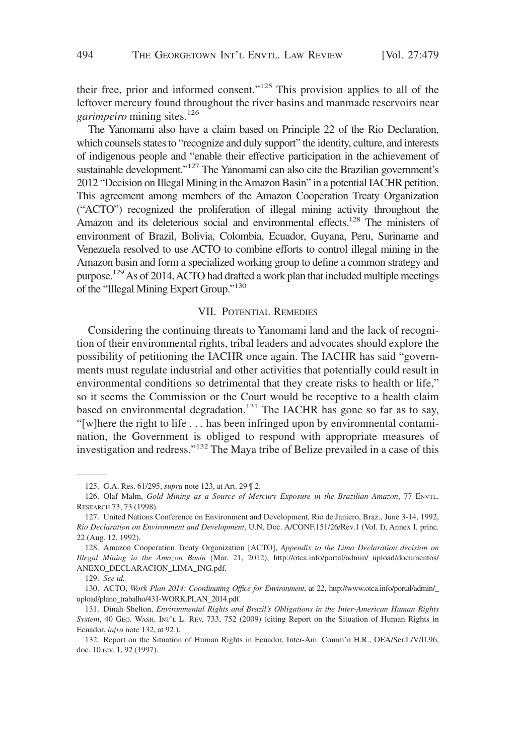their free, prior and informed consent."125 This provision applies to all of the leftover mercury found throughout the river basins and manmade reservoirs near *garimpeiro* mining sites.<sup>126</sup>

The Yanomami also have a claim based on Principle 22 of the Rio Declaration, which counsels states to "recognize and duly support" the identity, culture, and interests of indigenous people and "enable their effective participation in the achievement of sustainable development."<sup>127</sup> The Yanomami can also cite the Brazilian government's 2012 "Decision on Illegal Mining in theAmazon Basin" in a potential IACHR petition. This agreement among members of the Amazon Cooperation Treaty Organization ("ACTO") recognized the proliferation of illegal mining activity throughout the Amazon and its deleterious social and environmental effects.<sup>128</sup> The ministers of environment of Brazil, Bolivia, Colombia, Ecuador, Guyana, Peru, Suriname and Venezuela resolved to use ACTO to combine efforts to control illegal mining in the Amazon basin and form a specialized working group to define a common strategy and purpose.<sup>129</sup> As of 2014, ACTO had drafted a work plan that included multiple meetings of the "Illegal Mining Expert Group."130

# VII. POTENTIAL REMEDIES

Considering the continuing threats to Yanomami land and the lack of recognition of their environmental rights, tribal leaders and advocates should explore the possibility of petitioning the IACHR once again. The IACHR has said "governments must regulate industrial and other activities that potentially could result in environmental conditions so detrimental that they create risks to health or life," so it seems the Commission or the Court would be receptive to a health claim based on environmental degradation.<sup>131</sup> The IACHR has gone so far as to say, "[w]here the right to life . . . has been infringed upon by environmental contamination, the Government is obliged to respond with appropriate measures of investigation and redress."<sup>132</sup> The Maya tribe of Belize prevailed in a case of this

<sup>125.</sup> G.A. Res. 61/295, *supra* note 123, at Art. 29 ¶ 2.

<sup>126.</sup> Olaf Malm, *Gold Mining as a Source of Mercury Exposure in the Brazilian Amazon*, 77 ENVTL. RESEARCH 73, 73 (1998).

<sup>127.</sup> United Nations Conference on Environment and Development, Rio de Janiero, Braz., June 3-14, 1992, *Rio Declaration on Environment and Development*, U.N. Doc. A/CONF.151/26/Rev.1 (Vol. I), Annex I, princ. 22 (Aug. 12, 1992).

<sup>128.</sup> Amazon Cooperation Treaty Organization [ACTO], *Appendix to the Lima Declaration decision on Illegal Mining in the Amazon Basin* (Mar. 21, 2012), http://otca.info/portal/admin/\_upload/documentos/ ANEXO\_DECLARACION\_LIMA\_ING.pdf.

<sup>129.</sup> *See id.*

<sup>130.</sup> ACTO, *Work Plan 2014: Coordinating Office for Environment*, at 22, http://www.otca.info/portal/admin/\_ upload/plano\_trabalho/431-WORK.PLAN\_2014.pdf.

<sup>131.</sup> Dinah Shelton, *Environmental Rights and Brazil's Obligations in the Inter-American Human Rights System*, 40 GEO. WASH. INT'L L. REV. 733, 752 (2009) (citing Report on the Situation of Human Rights in Ecuador, *infra* note 132, at 92.).

<sup>132.</sup> Report on the Situation of Human Rights in Ecuador, Inter-Am. Comm'n H.R., OEA/Ser.L/V/II.96, doc. 10 rev. 1, 92 (1997).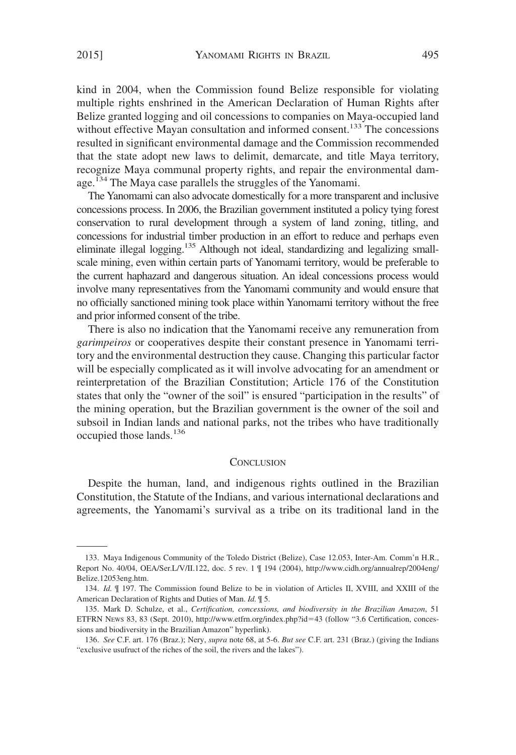kind in 2004, when the Commission found Belize responsible for violating multiple rights enshrined in the American Declaration of Human Rights after Belize granted logging and oil concessions to companies on Maya-occupied land without effective Mayan consultation and informed consent.<sup>133</sup> The concessions resulted in significant environmental damage and the Commission recommended that the state adopt new laws to delimit, demarcate, and title Maya territory, recognize Maya communal property rights, and repair the environmental damage.<sup>134</sup> The Maya case parallels the struggles of the Yanomami.

The Yanomami can also advocate domestically for a more transparent and inclusive concessions process. In 2006, the Brazilian government instituted a policy tying forest conservation to rural development through a system of land zoning, titling, and concessions for industrial timber production in an effort to reduce and perhaps even eliminate illegal logging.135 Although not ideal, standardizing and legalizing smallscale mining, even within certain parts of Yanomami territory, would be preferable to the current haphazard and dangerous situation. An ideal concessions process would involve many representatives from the Yanomami community and would ensure that no officially sanctioned mining took place within Yanomami territory without the free and prior informed consent of the tribe.

There is also no indication that the Yanomami receive any remuneration from *garimpeiros* or cooperatives despite their constant presence in Yanomami territory and the environmental destruction they cause. Changing this particular factor will be especially complicated as it will involve advocating for an amendment or reinterpretation of the Brazilian Constitution; Article 176 of the Constitution states that only the "owner of the soil" is ensured "participation in the results" of the mining operation, but the Brazilian government is the owner of the soil and subsoil in Indian lands and national parks, not the tribes who have traditionally occupied those lands.<sup>136</sup>

#### **CONCLUSION**

Despite the human, land, and indigenous rights outlined in the Brazilian Constitution, the Statute of the Indians, and various international declarations and agreements, the Yanomami's survival as a tribe on its traditional land in the

<sup>133.</sup> Maya Indigenous Community of the Toledo District (Belize), Case 12.053, Inter-Am. Comm'n H.R., Report No. 40/04, OEA/Ser.L/V/II.122, doc. 5 rev. 1 ¶ 194 (2004), http://www.cidh.org/annualrep/2004eng/ Belize.12053eng.htm.

<sup>134.</sup> *Id.* ¶ 197. The Commission found Belize to be in violation of Articles II, XVIII, and XXIII of the American Declaration of Rights and Duties of Man. *Id.* ¶ 5.

<sup>135.</sup> Mark D. Schulze, et al., *Certification, concessions, and biodiversity in the Brazilian Amazon*, 51 ETFRN NEWS 83, 83 (Sept. 2010), http://www.etfrn.org/index.php?id-43 (follow "3.6 Certification, concessions and biodiversity in the Brazilian Amazon" hyperlink).

<sup>136.</sup> *See* C.F. art. 176 (Braz.); Nery, *supra* note 68, at 5-6. *But see* C.F. art. 231 (Braz.) (giving the Indians "exclusive usufruct of the riches of the soil, the rivers and the lakes").